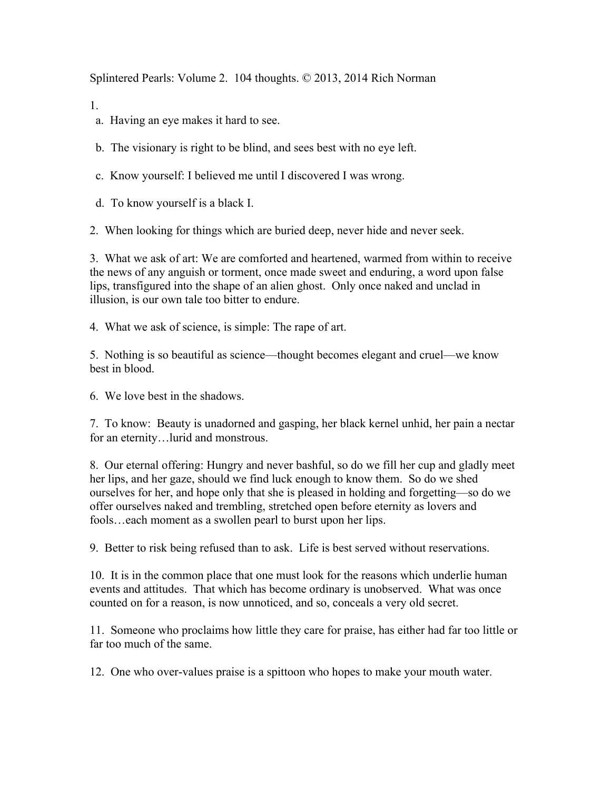Splintered Pearls: Volume 2. 104 thoughts. © 2013, 2014 Rich Norman

1.

a. Having an eye makes it hard to see.

b. The visionary is right to be blind, and sees best with no eye left.

c. Know yourself: I believed me until I discovered I was wrong.

d. To know yourself is a black I.

2. When looking for things which are buried deep, never hide and never seek.

3. What we ask of art: We are comforted and heartened, warmed from within to receive the news of any anguish or torment, once made sweet and enduring, a word upon false lips, transfigured into the shape of an alien ghost. Only once naked and unclad in illusion, is our own tale too bitter to endure.

4. What we ask of science, is simple: The rape of art.

5. Nothing is so beautiful as science––thought becomes elegant and cruel––we know best in blood.

6. We love best in the shadows.

7. To know: Beauty is unadorned and gasping, her black kernel unhid, her pain a nectar for an eternity…lurid and monstrous.

8. Our eternal offering: Hungry and never bashful, so do we fill her cup and gladly meet her lips, and her gaze, should we find luck enough to know them. So do we shed ourselves for her, and hope only that she is pleased in holding and forgetting––so do we offer ourselves naked and trembling, stretched open before eternity as lovers and fools…each moment as a swollen pearl to burst upon her lips.

9. Better to risk being refused than to ask. Life is best served without reservations.

10. It is in the common place that one must look for the reasons which underlie human events and attitudes. That which has become ordinary is unobserved. What was once counted on for a reason, is now unnoticed, and so, conceals a very old secret.

11. Someone who proclaims how little they care for praise, has either had far too little or far too much of the same.

12. One who over-values praise is a spittoon who hopes to make your mouth water.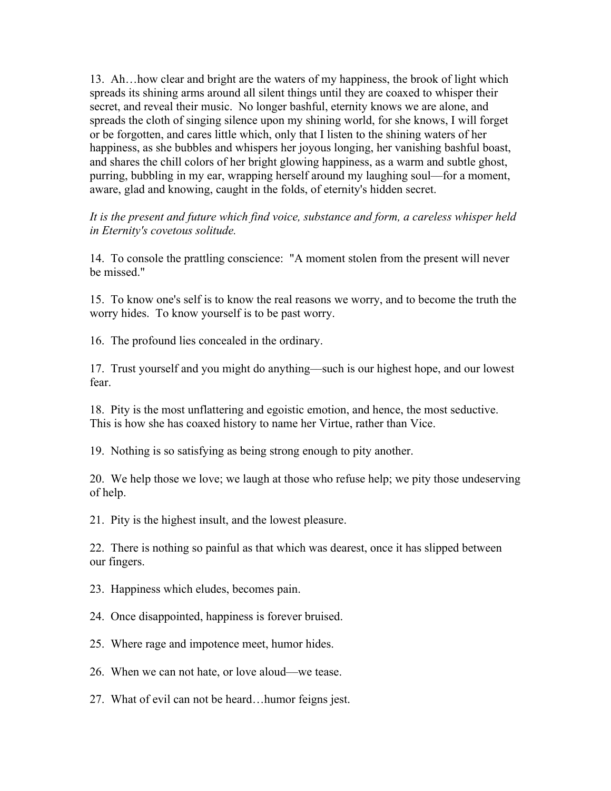13. Ah…how clear and bright are the waters of my happiness, the brook of light which spreads its shining arms around all silent things until they are coaxed to whisper their secret, and reveal their music. No longer bashful, eternity knows we are alone, and spreads the cloth of singing silence upon my shining world, for she knows, I will forget or be forgotten, and cares little which, only that I listen to the shining waters of her happiness, as she bubbles and whispers her joyous longing, her vanishing bashful boast, and shares the chill colors of her bright glowing happiness, as a warm and subtle ghost, purring, bubbling in my ear, wrapping herself around my laughing soul––for a moment, aware, glad and knowing, caught in the folds, of eternity's hidden secret.

*It is the present and future which find voice, substance and form, a careless whisper held in Eternity's covetous solitude.*

14. To console the prattling conscience: "A moment stolen from the present will never be missed."

15. To know one's self is to know the real reasons we worry, and to become the truth the worry hides. To know yourself is to be past worry.

16. The profound lies concealed in the ordinary.

17. Trust yourself and you might do anything––such is our highest hope, and our lowest fear.

18. Pity is the most unflattering and egoistic emotion, and hence, the most seductive. This is how she has coaxed history to name her Virtue, rather than Vice.

19. Nothing is so satisfying as being strong enough to pity another.

20. We help those we love; we laugh at those who refuse help; we pity those undeserving of help.

21. Pity is the highest insult, and the lowest pleasure.

22. There is nothing so painful as that which was dearest, once it has slipped between our fingers.

- 23. Happiness which eludes, becomes pain.
- 24. Once disappointed, happiness is forever bruised.
- 25. Where rage and impotence meet, humor hides.
- 26. When we can not hate, or love aloud––we tease.
- 27. What of evil can not be heard…humor feigns jest.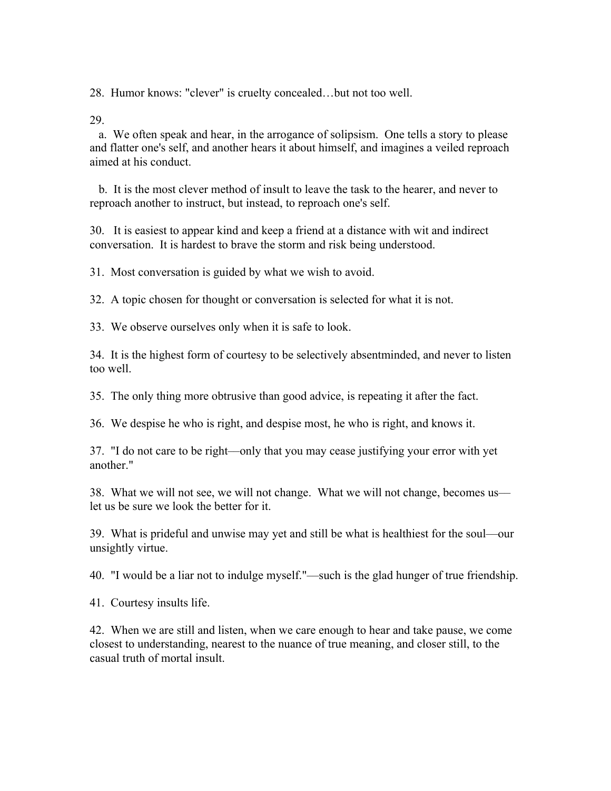28. Humor knows: "clever" is cruelty concealed…but not too well.

29.

 a. We often speak and hear, in the arrogance of solipsism. One tells a story to please and flatter one's self, and another hears it about himself, and imagines a veiled reproach aimed at his conduct.

 b. It is the most clever method of insult to leave the task to the hearer, and never to reproach another to instruct, but instead, to reproach one's self.

30. It is easiest to appear kind and keep a friend at a distance with wit and indirect conversation. It is hardest to brave the storm and risk being understood.

31. Most conversation is guided by what we wish to avoid.

32. A topic chosen for thought or conversation is selected for what it is not.

33. We observe ourselves only when it is safe to look.

34. It is the highest form of courtesy to be selectively absentminded, and never to listen too well.

35. The only thing more obtrusive than good advice, is repeating it after the fact.

36. We despise he who is right, and despise most, he who is right, and knows it.

37. "I do not care to be right––only that you may cease justifying your error with yet another."

38. What we will not see, we will not change. What we will not change, becomes us let us be sure we look the better for it.

39. What is prideful and unwise may yet and still be what is healthiest for the soul––our unsightly virtue.

40. "I would be a liar not to indulge myself."––such is the glad hunger of true friendship.

41. Courtesy insults life.

42. When we are still and listen, when we care enough to hear and take pause, we come closest to understanding, nearest to the nuance of true meaning, and closer still, to the casual truth of mortal insult.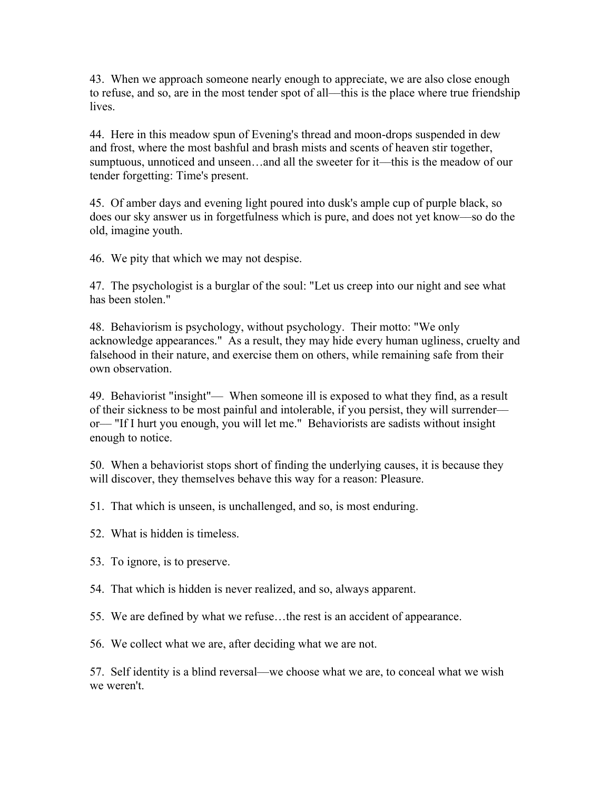43. When we approach someone nearly enough to appreciate, we are also close enough to refuse, and so, are in the most tender spot of all––this is the place where true friendship lives.

44. Here in this meadow spun of Evening's thread and moon-drops suspended in dew and frost, where the most bashful and brash mists and scents of heaven stir together, sumptuous, unnoticed and unseen…and all the sweeter for it––this is the meadow of our tender forgetting: Time's present.

45. Of amber days and evening light poured into dusk's ample cup of purple black, so does our sky answer us in forgetfulness which is pure, and does not yet know––so do the old, imagine youth.

46. We pity that which we may not despise.

47. The psychologist is a burglar of the soul: "Let us creep into our night and see what has been stolen."

48. Behaviorism is psychology, without psychology. Their motto: "We only acknowledge appearances." As a result, they may hide every human ugliness, cruelty and falsehood in their nature, and exercise them on others, while remaining safe from their own observation.

49. Behaviorist "insight"–– When someone ill is exposed to what they find, as a result of their sickness to be most painful and intolerable, if you persist, they will surrender–– or–– "If I hurt you enough, you will let me." Behaviorists are sadists without insight enough to notice.

50. When a behaviorist stops short of finding the underlying causes, it is because they will discover, they themselves behave this way for a reason: Pleasure.

51. That which is unseen, is unchallenged, and so, is most enduring.

- 52. What is hidden is timeless.
- 53. To ignore, is to preserve.
- 54. That which is hidden is never realized, and so, always apparent.
- 55. We are defined by what we refuse…the rest is an accident of appearance.

56. We collect what we are, after deciding what we are not.

57. Self identity is a blind reversal––we choose what we are, to conceal what we wish we weren't.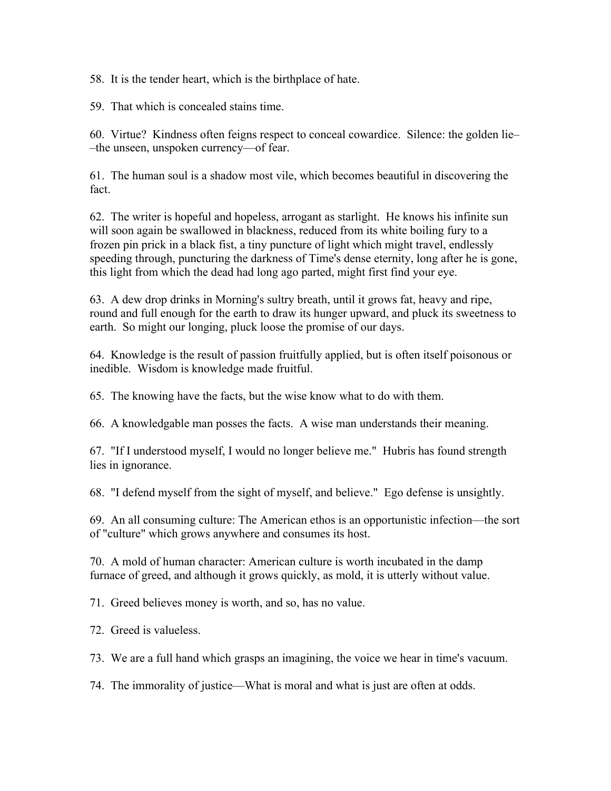58. It is the tender heart, which is the birthplace of hate.

59. That which is concealed stains time.

60. Virtue? Kindness often feigns respect to conceal cowardice. Silence: the golden lie– –the unseen, unspoken currency––of fear.

61. The human soul is a shadow most vile, which becomes beautiful in discovering the fact.

62. The writer is hopeful and hopeless, arrogant as starlight. He knows his infinite sun will soon again be swallowed in blackness, reduced from its white boiling fury to a frozen pin prick in a black fist, a tiny puncture of light which might travel, endlessly speeding through, puncturing the darkness of Time's dense eternity, long after he is gone, this light from which the dead had long ago parted, might first find your eye.

63. A dew drop drinks in Morning's sultry breath, until it grows fat, heavy and ripe, round and full enough for the earth to draw its hunger upward, and pluck its sweetness to earth. So might our longing, pluck loose the promise of our days.

64. Knowledge is the result of passion fruitfully applied, but is often itself poisonous or inedible. Wisdom is knowledge made fruitful.

65. The knowing have the facts, but the wise know what to do with them.

66. A knowledgable man posses the facts. A wise man understands their meaning.

67. "If I understood myself, I would no longer believe me." Hubris has found strength lies in ignorance.

68. "I defend myself from the sight of myself, and believe." Ego defense is unsightly.

69. An all consuming culture: The American ethos is an opportunistic infection––the sort of "culture" which grows anywhere and consumes its host.

70. A mold of human character: American culture is worth incubated in the damp furnace of greed, and although it grows quickly, as mold, it is utterly without value.

71. Greed believes money is worth, and so, has no value.

72. Greed is valueless.

73. We are a full hand which grasps an imagining, the voice we hear in time's vacuum.

74. The immorality of justice––What is moral and what is just are often at odds.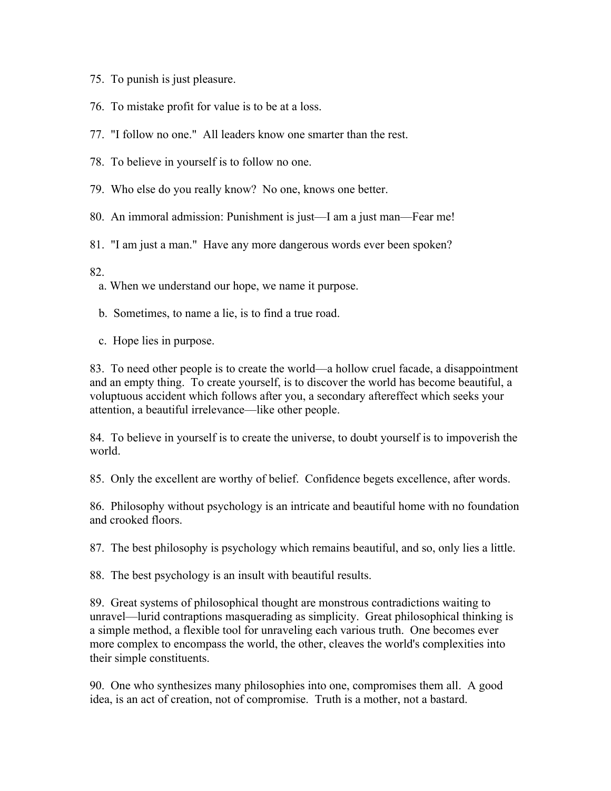- 75. To punish is just pleasure.
- 76. To mistake profit for value is to be at a loss.
- 77. "I follow no one." All leaders know one smarter than the rest.
- 78. To believe in yourself is to follow no one.
- 79. Who else do you really know? No one, knows one better.
- 80. An immoral admission: Punishment is just––I am a just man––Fear me!
- 81. "I am just a man." Have any more dangerous words ever been spoken?
- 82.
	- a. When we understand our hope, we name it purpose.
	- b. Sometimes, to name a lie, is to find a true road.
	- c. Hope lies in purpose.

83. To need other people is to create the world––a hollow cruel facade, a disappointment and an empty thing. To create yourself, is to discover the world has become beautiful, a voluptuous accident which follows after you, a secondary aftereffect which seeks your attention, a beautiful irrelevance––like other people.

84. To believe in yourself is to create the universe, to doubt yourself is to impoverish the world.

85. Only the excellent are worthy of belief. Confidence begets excellence, after words.

86. Philosophy without psychology is an intricate and beautiful home with no foundation and crooked floors.

87. The best philosophy is psychology which remains beautiful, and so, only lies a little.

88. The best psychology is an insult with beautiful results.

89. Great systems of philosophical thought are monstrous contradictions waiting to unravel––lurid contraptions masquerading as simplicity. Great philosophical thinking is a simple method, a flexible tool for unraveling each various truth. One becomes ever more complex to encompass the world, the other, cleaves the world's complexities into their simple constituents.

90. One who synthesizes many philosophies into one, compromises them all. A good idea, is an act of creation, not of compromise. Truth is a mother, not a bastard.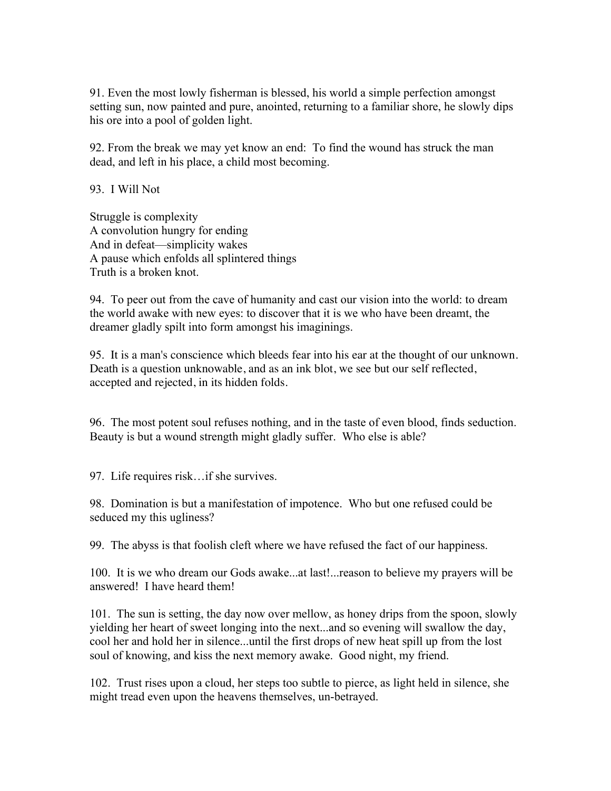91. Even the most lowly fisherman is blessed, his world a simple perfection amongst setting sun, now painted and pure, anointed, returning to a familiar shore, he slowly dips his ore into a pool of golden light.

92. From the break we may yet know an end: To find the wound has struck the man dead, and left in his place, a child most becoming.

93. I Will Not

Struggle is complexity A convolution hungry for ending And in defeat––simplicity wakes A pause which enfolds all splintered things Truth is a broken knot.

94. To peer out from the cave of humanity and cast our vision into the world: to dream the world awake with new eyes: to discover that it is we who have been dreamt, the dreamer gladly spilt into form amongst his imaginings.

95. It is a man's conscience which bleeds fear into his ear at the thought of our unknown. Death is a question unknowable, and as an ink blot, we see but our self reflected, accepted and rejected, in its hidden folds.

96. The most potent soul refuses nothing, and in the taste of even blood, finds seduction. Beauty is but a wound strength might gladly suffer. Who else is able?

97. Life requires risk…if she survives.

98. Domination is but a manifestation of impotence. Who but one refused could be seduced my this ugliness?

99. The abyss is that foolish cleft where we have refused the fact of our happiness.

100. It is we who dream our Gods awake...at last!...reason to believe my prayers will be answered! I have heard them!

101. The sun is setting, the day now over mellow, as honey drips from the spoon, slowly yielding her heart of sweet longing into the next...and so evening will swallow the day, cool her and hold her in silence...until the first drops of new heat spill up from the lost soul of knowing, and kiss the next memory awake. Good night, my friend.

102. Trust rises upon a cloud, her steps too subtle to pierce, as light held in silence, she might tread even upon the heavens themselves, un-betrayed.